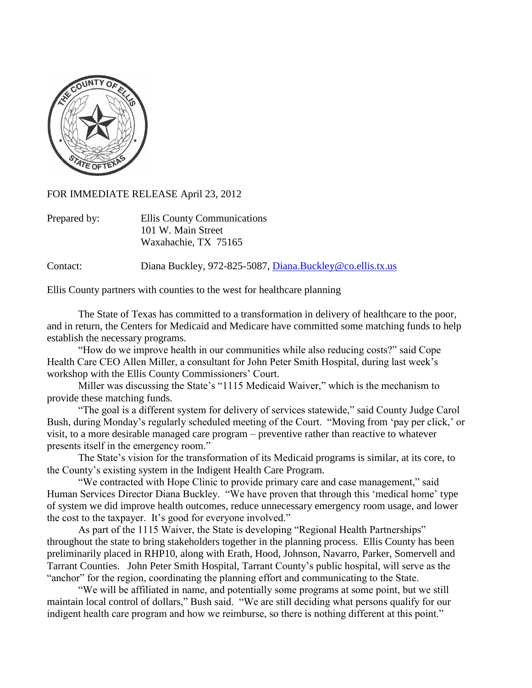

FOR IMMEDIATE RELEASE April 23, 2012

| Prepared by: | Ellis County Communications |
|--------------|-----------------------------|
|              | 101 W. Main Street          |
|              | Waxahachie, TX 75165        |

Contact: Diana Buckley, 972-825-5087, [Diana.Buckley@co.ellis.tx.us](mailto:Diana.Buckley@co.ellis.tx.us)

Ellis County partners with counties to the west for healthcare planning

The State of Texas has committed to a transformation in delivery of healthcare to the poor, and in return, the Centers for Medicaid and Medicare have committed some matching funds to help establish the necessary programs.

"How do we improve health in our communities while also reducing costs?" said Cope Health Care CEO Allen Miller, a consultant for John Peter Smith Hospital, during last week's workshop with the Ellis County Commissioners' Court.

Miller was discussing the State's "1115 Medicaid Waiver," which is the mechanism to provide these matching funds.

"The goal is a different system for delivery of services statewide," said County Judge Carol Bush, during Monday's regularly scheduled meeting of the Court. "Moving from 'pay per click,' or visit, to a more desirable managed care program – preventive rather than reactive to whatever presents itself in the emergency room."

The State's vision for the transformation of its Medicaid programs is similar, at its core, to the County's existing system in the Indigent Health Care Program.

"We contracted with Hope Clinic to provide primary care and case management," said Human Services Director Diana Buckley. "We have proven that through this 'medical home' type of system we did improve health outcomes, reduce unnecessary emergency room usage, and lower the cost to the taxpayer. It's good for everyone involved."

As part of the 1115 Waiver, the State is developing "Regional Health Partnerships" throughout the state to bring stakeholders together in the planning process. Ellis County has been preliminarily placed in RHP10, along with Erath, Hood, Johnson, Navarro, Parker, Somervell and Tarrant Counties. John Peter Smith Hospital, Tarrant County's public hospital, will serve as the "anchor" for the region, coordinating the planning effort and communicating to the State.

"We will be affiliated in name, and potentially some programs at some point, but we still maintain local control of dollars," Bush said. "We are still deciding what persons qualify for our indigent health care program and how we reimburse, so there is nothing different at this point."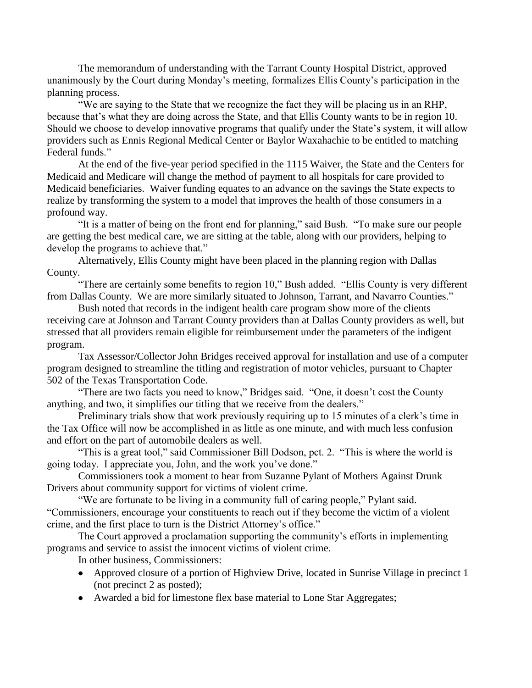The memorandum of understanding with the Tarrant County Hospital District, approved unanimously by the Court during Monday's meeting, formalizes Ellis County's participation in the planning process.

"We are saying to the State that we recognize the fact they will be placing us in an RHP, because that's what they are doing across the State, and that Ellis County wants to be in region 10. Should we choose to develop innovative programs that qualify under the State's system, it will allow providers such as Ennis Regional Medical Center or Baylor Waxahachie to be entitled to matching Federal funds."

At the end of the five-year period specified in the 1115 Waiver, the State and the Centers for Medicaid and Medicare will change the method of payment to all hospitals for care provided to Medicaid beneficiaries. Waiver funding equates to an advance on the savings the State expects to realize by transforming the system to a model that improves the health of those consumers in a profound way.

"It is a matter of being on the front end for planning," said Bush. "To make sure our people are getting the best medical care, we are sitting at the table, along with our providers, helping to develop the programs to achieve that."

Alternatively, Ellis County might have been placed in the planning region with Dallas County.

"There are certainly some benefits to region 10," Bush added. "Ellis County is very different from Dallas County. We are more similarly situated to Johnson, Tarrant, and Navarro Counties."

Bush noted that records in the indigent health care program show more of the clients receiving care at Johnson and Tarrant County providers than at Dallas County providers as well, but stressed that all providers remain eligible for reimbursement under the parameters of the indigent program.

Tax Assessor/Collector John Bridges received approval for installation and use of a computer program designed to streamline the titling and registration of motor vehicles, pursuant to Chapter 502 of the Texas Transportation Code.

"There are two facts you need to know," Bridges said. "One, it doesn't cost the County anything, and two, it simplifies our titling that we receive from the dealers."

Preliminary trials show that work previously requiring up to 15 minutes of a clerk's time in the Tax Office will now be accomplished in as little as one minute, and with much less confusion and effort on the part of automobile dealers as well.

"This is a great tool," said Commissioner Bill Dodson, pct. 2. "This is where the world is going today. I appreciate you, John, and the work you've done."

Commissioners took a moment to hear from Suzanne Pylant of Mothers Against Drunk Drivers about community support for victims of violent crime.

"We are fortunate to be living in a community full of caring people," Pylant said. "Commissioners, encourage your constituents to reach out if they become the victim of a violent crime, and the first place to turn is the District Attorney's office."

The Court approved a proclamation supporting the community's efforts in implementing programs and service to assist the innocent victims of violent crime.

In other business, Commissioners:

- Approved closure of a portion of Highview Drive, located in Sunrise Village in precinct 1 (not precinct 2 as posted);
- Awarded a bid for limestone flex base material to Lone Star Aggregates;